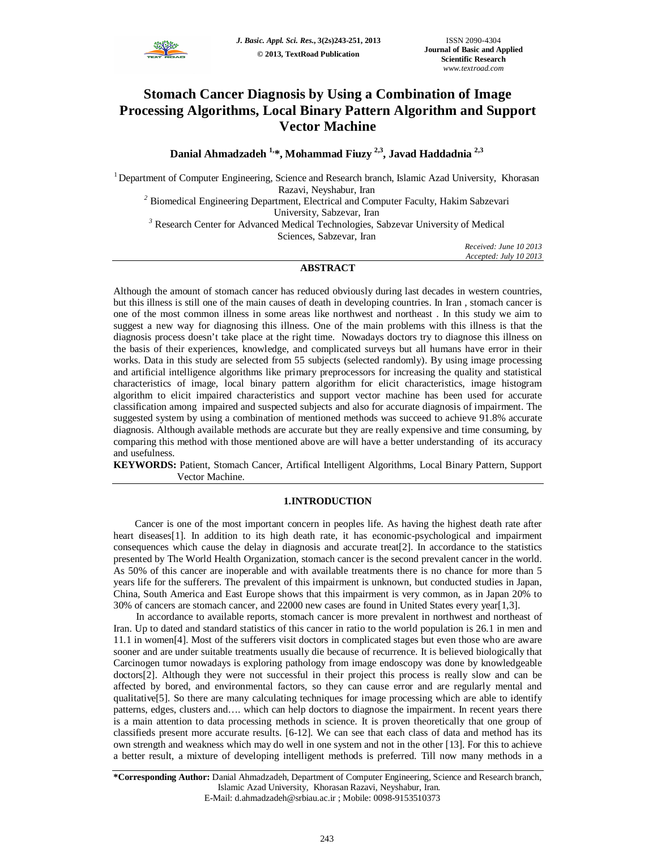

# **Stomach Cancer Diagnosis by Using a Combination of Image Processing Algorithms, Local Binary Pattern Algorithm and Support Vector Machine**

**Danial Ahmadzadeh 1,\*, Mohammad Fiuzy 2,3 , Javad Haddadnia 2,3**

<sup>1</sup>Department of Computer Engineering, Science and Research branch, Islamic Azad University, Khorasan Razavi, Neyshabur, Iran

<sup>2</sup> Biomedical Engineering Department, Electrical and Computer Faculty, Hakim Sabzevari University, Sabzevar, Iran

*<sup>3</sup>* Research Center for Advanced Medical Technologies, Sabzevar University of Medical Sciences, Sabzevar, Iran

*Received: June 10 2013 Accepted: July 10 2013*

# **ABSTRACT**

Although the amount of stomach cancer has reduced obviously during last decades in western countries, but this illness is still one of the main causes of death in developing countries. In Iran , stomach cancer is one of the most common illness in some areas like northwest and northeast . In this study we aim to suggest a new way for diagnosing this illness. One of the main problems with this illness is that the diagnosis process doesn't take place at the right time. Nowadays doctors try to diagnose this illness on the basis of their experiences, knowledge, and complicated surveys but all humans have error in their works. Data in this study are selected from 55 subjects (selected randomly). By using image processing and artificial intelligence algorithms like primary preprocessors for increasing the quality and statistical characteristics of image, local binary pattern algorithm for elicit characteristics, image histogram algorithm to elicit impaired characteristics and support vector machine has been used for accurate classification among impaired and suspected subjects and also for accurate diagnosis of impairment. The suggested system by using a combination of mentioned methods was succeed to achieve 91.8% accurate diagnosis. Although available methods are accurate but they are really expensive and time consuming, by comparing this method with those mentioned above are will have a better understanding of its accuracy and usefulness.

**KEYWORDS:** Patient, Stomach Cancer, Artifical Intelligent Algorithms, Local Binary Pattern, Support Vector Machine.

# **1.INTRODUCTION**

Cancer is one of the most important concern in peoples life. As having the highest death rate after heart diseases<sup>[1]</sup>. In addition to its high death rate, it has economic-psychological and impairment consequences which cause the delay in diagnosis and accurate treat[2]. In accordance to the statistics presented by The World Health Organization, stomach cancer is the second prevalent cancer in the world. As 50% of this cancer are inoperable and with available treatments there is no chance for more than 5 years life for the sufferers. The prevalent of this impairment is unknown, but conducted studies in Japan, China, South America and East Europe shows that this impairment is very common, as in Japan 20% to 30% of cancers are stomach cancer, and 22000 new cases are found in United States every year[1,3].

In accordance to available reports, stomach cancer is more prevalent in northwest and northeast of Iran. Up to dated and standard statistics of this cancer in ratio to the world population is 26.1 in men and 11.1 in women[4]. Most of the sufferers visit doctors in complicated stages but even those who are aware sooner and are under suitable treatments usually die because of recurrence. It is believed biologically that Carcinogen tumor nowadays is exploring pathology from image endoscopy was done by knowledgeable doctors[2]. Although they were not successful in their project this process is really slow and can be affected by bored, and environmental factors, so they can cause error and are regularly mental and qualitative[5]. So there are many calculating techniques for image processing which are able to identify patterns, edges, clusters and…. which can help doctors to diagnose the impairment. In recent years there is a main attention to data processing methods in science. It is proven theoretically that one group of classifieds present more accurate results. [6-12]. We can see that each class of data and method has its own strength and weakness which may do well in one system and not in the other [13]. For this to achieve a better result, a mixture of developing intelligent methods is preferred. Till now many methods in a

**<sup>\*</sup>Corresponding Author:** Danial Ahmadzadeh, Department of Computer Engineering, Science and Research branch, Islamic Azad University, Khorasan Razavi, Neyshabur, Iran. E-Mail: d.ahmadzadeh@srbiau.ac.ir ; Mobile: 0098-9153510373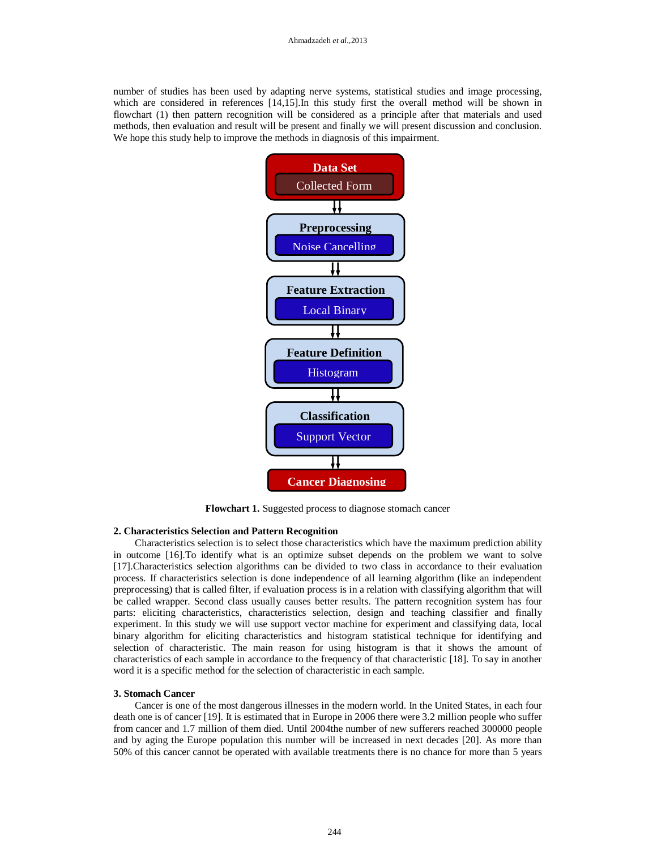number of studies has been used by adapting nerve systems, statistical studies and image processing, which are considered in references [14,15].In this study first the overall method will be shown in flowchart (1) then pattern recognition will be considered as a principle after that materials and used methods, then evaluation and result will be present and finally we will present discussion and conclusion. We hope this study help to improve the methods in diagnosis of this impairment.



**Flowchart 1.** Suggested process to diagnose stomach cancer

### **2. Characteristics Selection and Pattern Recognition**

Characteristics selection is to select those characteristics which have the maximum prediction ability in outcome [16].To identify what is an optimize subset depends on the problem we want to solve [17].Characteristics selection algorithms can be divided to two class in accordance to their evaluation process. If characteristics selection is done independence of all learning algorithm (like an independent preprocessing) that is called filter, if evaluation process is in a relation with classifying algorithm that will be called wrapper. Second class usually causes better results. The pattern recognition system has four parts: eliciting characteristics, characteristics selection, design and teaching classifier and finally experiment. In this study we will use support vector machine for experiment and classifying data, local binary algorithm for eliciting characteristics and histogram statistical technique for identifying and selection of characteristic. The main reason for using histogram is that it shows the amount of characteristics of each sample in accordance to the frequency of that characteristic [18]. To say in another word it is a specific method for the selection of characteristic in each sample.

#### **3. Stomach Cancer**

Cancer is one of the most dangerous illnesses in the modern world. In the United States, in each four death one is of cancer [19]. It is estimated that in Europe in 2006 there were 3.2 million people who suffer from cancer and 1.7 million of them died. Until 2004the number of new sufferers reached 300000 people and by aging the Europe population this number will be increased in next decades [20]. As more than 50% of this cancer cannot be operated with available treatments there is no chance for more than 5 years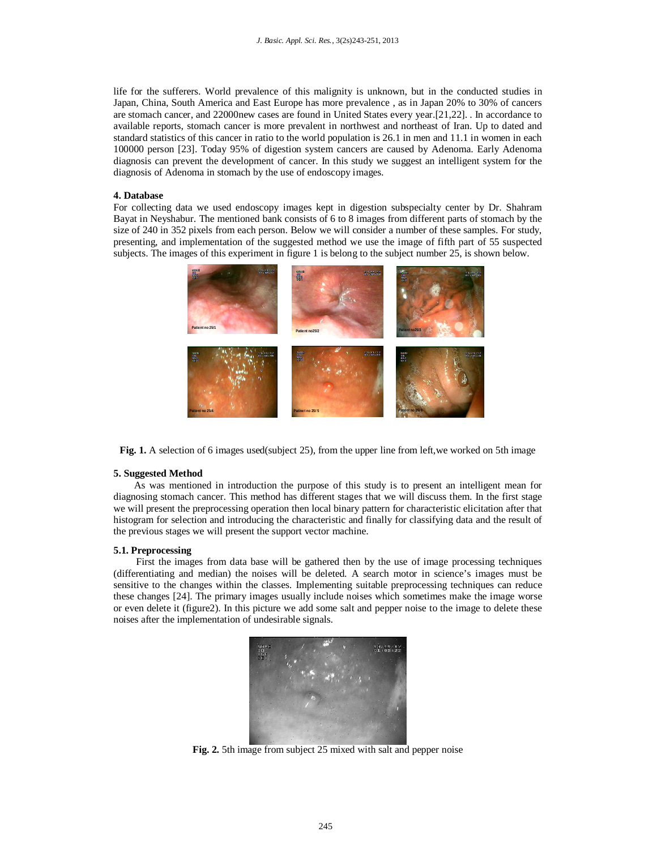life for the sufferers. World prevalence of this malignity is unknown, but in the conducted studies in Japan, China, South America and East Europe has more prevalence , as in Japan 20% to 30% of cancers are stomach cancer, and 22000new cases are found in United States every year.[21,22]. . In accordance to available reports, stomach cancer is more prevalent in northwest and northeast of Iran. Up to dated and standard statistics of this cancer in ratio to the world population is 26.1 in men and 11.1 in women in each 100000 person [23]. Today 95% of digestion system cancers are caused by Adenoma. Early Adenoma diagnosis can prevent the development of cancer. In this study we suggest an intelligent system for the diagnosis of Adenoma in stomach by the use of endoscopy images.

## **4. Database**

For collecting data we used endoscopy images kept in digestion subspecialty center by Dr. Shahram Bayat in Neyshabur. The mentioned bank consists of 6 to 8 images from different parts of stomach by the size of 240 in 352 pixels from each person. Below we will consider a number of these samples. For study, presenting, and implementation of the suggested method we use the image of fifth part of 55 suspected subjects. The images of this experiment in figure 1 is belong to the subject number 25, is shown below.



**Fig.** 1. A selection of 6 images used(subject 25), from the upper line from left, we worked on 5th image

## **5. Suggested Method**

As was mentioned in introduction the purpose of this study is to present an intelligent mean for diagnosing stomach cancer. This method has different stages that we will discuss them. In the first stage we will present the preprocessing operation then local binary pattern for characteristic elicitation after that histogram for selection and introducing the characteristic and finally for classifying data and the result of the previous stages we will present the support vector machine.

## **5.1. Preprocessing**

First the images from data base will be gathered then by the use of image processing techniques (differentiating and median) the noises will be deleted. A search motor in science's images must be sensitive to the changes within the classes. Implementing suitable preprocessing techniques can reduce these changes [24]. The primary images usually include noises which sometimes make the image worse or even delete it (figure2). In this picture we add some salt and pepper noise to the image to delete these noises after the implementation of undesirable signals.



**Fig. 2.** 5th image from subject 25 mixed with salt and pepper noise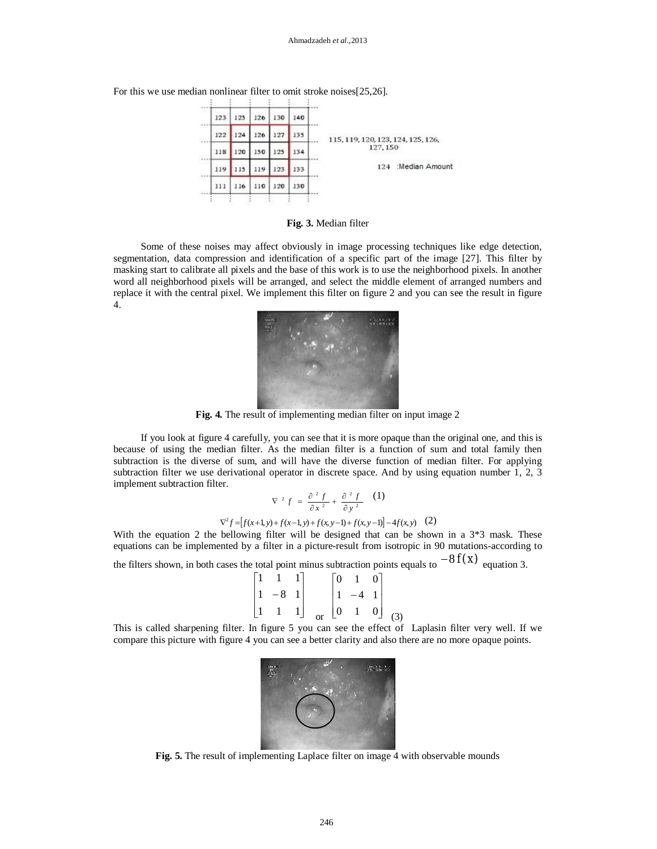For this we use median nonlinear filter to omit stroke noises[25,26].



**Fig. 3.** Median filter

Some of these noises may affect obviously in image processing techniques like edge detection, segmentation, data compression and identification of a specific part of the image [27]. This filter by masking start to calibrate all pixels and the base of this work is to use the neighborhood pixels. In another word all neighborhood pixels will be arranged, and select the middle element of arranged numbers and replace it with the central pixel. We implement this filter on figure 2 and you can see the result in figure 4.



**Fig. 4.** The result of implementing median filter on input image 2

If you look at figure 4 carefully, you can see that it is more opaque than the original one, and this is because of using the median filter. As the median filter is a function of sum and total family then subtraction is the diverse of sum, and will have the diverse function of median filter. For applying subtraction filter we use derivational operator in discrete space. And by using equation number 1, 2, 3 implement subtraction filter.

$$
\nabla^2 f = \frac{\partial^2 f}{\partial x^2} + \frac{\partial^2 f}{\partial y^2} \quad (1)
$$
  

$$
\nabla^2 f = [f(x+1, y) + f(x-1, y) + f(x, y-1) + f(x, y-1)] - 4f(x, y) \quad (2)
$$

With the equation 2 the bellowing filter will be designed that can be shown in a  $3*3$  mask. These equations can be implemented by a filter in a picture-result from isotropic in 90 mutations-according to

the filters shown, in both cases the total point minus subtraction points equals to  $-8 f(x)$  equation 3.

$$
\begin{bmatrix} 1 & 1 & 1 \ 1 & -8 & 1 \ 1 & 1 & 1 \end{bmatrix} \quad \begin{bmatrix} 0 & 1 & 0 \ 1 & -4 & 1 \ 0 & 1 & 0 \end{bmatrix} \quad (3)
$$

This is called sharpening filter. In figure 5 you can see the effect of Laplasin filter very well. If we compare this picture with figure 4 you can see a better clarity and also there are no more opaque points.



**Fig. 5.** The result of implementing Laplace filter on image 4 with observable mounds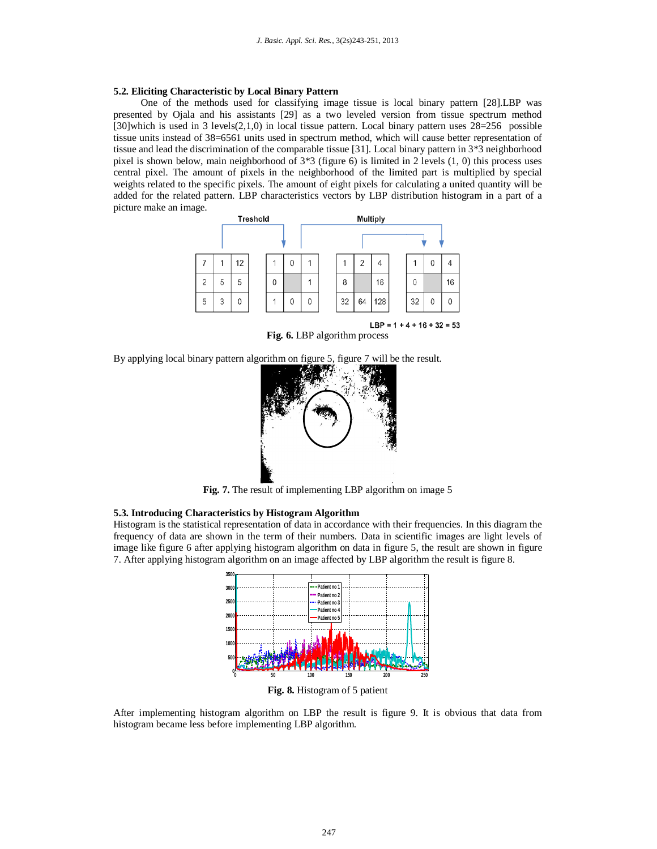### **5.2. Eliciting Characteristic by Local Binary Pattern**

One of the methods used for classifying image tissue is local binary pattern [28].LBP was presented by Ojala and his assistants [29] as a two leveled version from tissue spectrum method [30]which is used in 3 levels(2,1,0) in local tissue pattern. Local binary pattern uses 28=256 possible tissue units instead of 38=6561 units used in spectrum method, which will cause better representation of tissue and lead the discrimination of the comparable tissue [31]. Local binary pattern in 3\*3 neighborhood pixel is shown below, main neighborhood of  $3*3$  (figure 6) is limited in 2 levels  $(1, 0)$  this process uses central pixel. The amount of pixels in the neighborhood of the limited part is multiplied by special weights related to the specific pixels. The amount of eight pixels for calculating a united quantity will be added for the related pattern. LBP characteristics vectors by LBP distribution histogram in a part of a picture make an image.



LBP =  $1 + 4 + 16 + 32 = 53$ **Fig. 6.** LBP algorithm process

By applying local binary pattern algorithm on figure 5, figure 7 will be the result.



**Fig. 7.** The result of implementing LBP algorithm on image 5

# **5.3. Introducing Characteristics by Histogram Algorithm**

Histogram is the statistical representation of data in accordance with their frequencies. In this diagram the frequency of data are shown in the term of their numbers. Data in scientific images are light levels of image like figure 6 after applying histogram algorithm on data in figure 5, the result are shown in figure 7. After applying histogram algorithm on an image affected by LBP algorithm the result is figure 8.



**Fig. 8.** Histogram of 5 patient

After implementing histogram algorithm on LBP the result is figure 9. It is obvious that data from histogram became less before implementing LBP algorithm.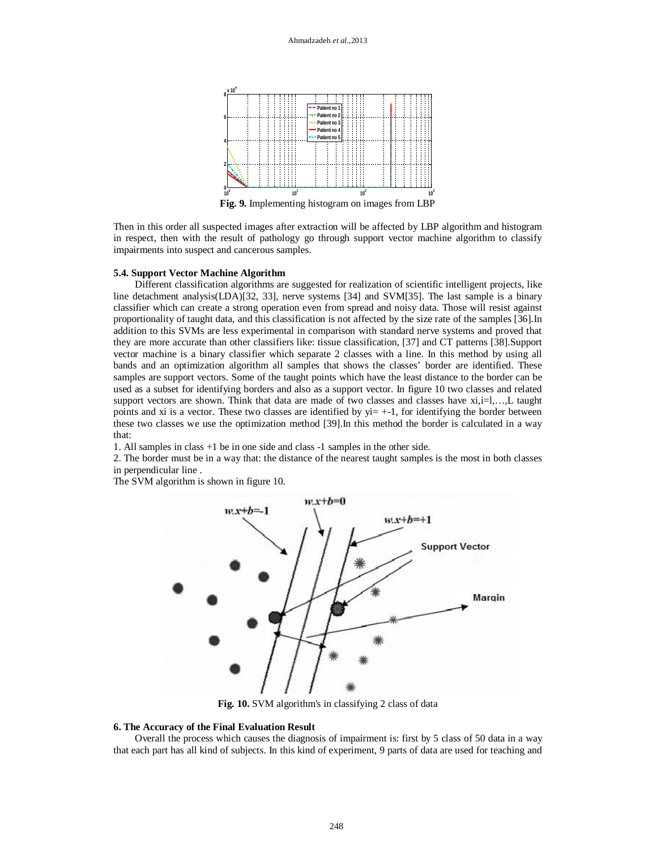

**Fig. 9.** Implementing histogram on images from LBP

Then in this order all suspected images after extraction will be affected by LBP algorithm and histogram in respect, then with the result of pathology go through support vector machine algorithm to classify impairments into suspect and cancerous samples.

### **5.4. Support Vector Machine Algorithm**

Different classification algorithms are suggested for realization of scientific intelligent projects, like line detachment analysis(LDA)[32, 33], nerve systems [34] and SVM[35]. The last sample is a binary classifier which can create a strong operation even from spread and noisy data. Those will resist against proportionality of taught data, and this classification is not affected by the size rate of the samples [36].In addition to this SVMs are less experimental in comparison with standard nerve systems and proved that they are more accurate than other classifiers like: tissue classification, [37] and CT patterns [38].Support vector machine is a binary classifier which separate 2 classes with a line. In this method by using all bands and an optimization algorithm all samples that shows the classes' border are identified. These samples are support vectors. Some of the taught points which have the least distance to the border can be used as a subset for identifying borders and also as a support vector. In figure 10 two classes and related support vectors are shown. Think that data are made of two classes and classes have  $xi, i=1,...,L$  taught points and xi is a vector. These two classes are identified by  $yi = +1$ , for identifying the border between these two classes we use the optimization method [39].In this method the border is calculated in a way that:

1. All samples in class +1 be in one side and class -1 samples in the other side.

2. The border must be in a way that: the distance of the nearest taught samples is the most in both classes in perpendicular line .

The SVM algorithm is shown in figure 10.



**Fig. 10.** SVM algorithm's in classifying 2 class of data

#### **6. The Accuracy of the Final Evaluation Result**

Overall the process which causes the diagnosis of impairment is: first by 5 class of 50 data in a way that each part has all kind of subjects. In this kind of experiment, 9 parts of data are used for teaching and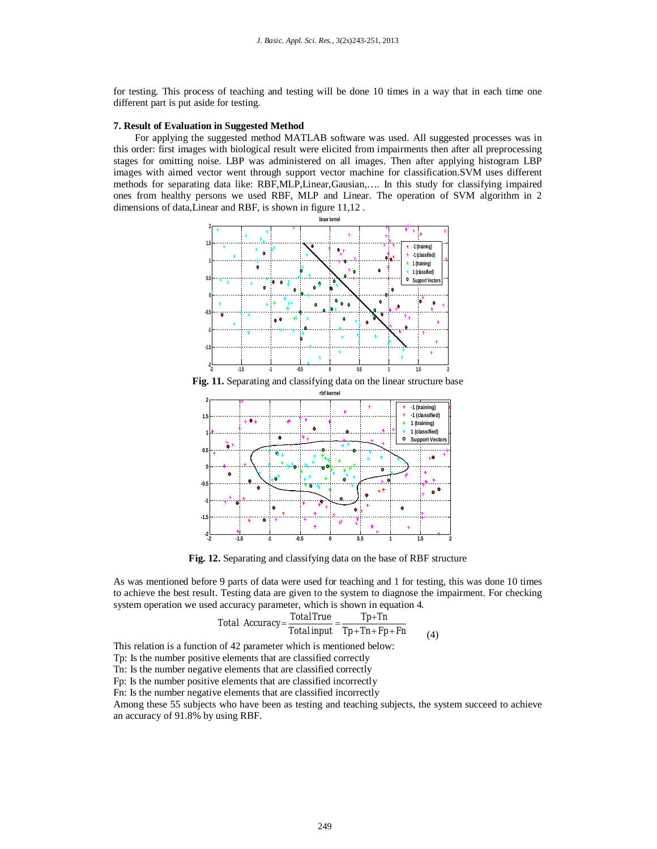for testing. This process of teaching and testing will be done 10 times in a way that in each time one different part is put aside for testing.

#### **7. Result of Evaluation in Suggested Method**

For applying the suggested method MATLAB software was used. All suggested processes was in this order: first images with biological result were elicited from impairments then after all preprocessing stages for omitting noise. LBP was administered on all images. Then after applying histogram LBP images with aimed vector went through support vector machine for classification.SVM uses different methods for separating data like: RBF,MLP,Linear,Gausian,…. In this study for classifying impaired ones from healthy persons we used RBF, MLP and Linear. The operation of SVM algorithm in 2 dimensions of data,Linear and RBF, is shown in figure 11,12 .



**Fig. 11.** Separating and classifying data on the linear structure base



**Fig. 12.** Separating and classifying data on the base of RBF structure

As was mentioned before 9 parts of data were used for teaching and 1 for testing, this was done 10 times to achieve the best result. Testing data are given to the system to diagnose the impairment. For checking system operation we used accuracy parameter, which is shown in equation 4.

Total Accuracy=
$$
\frac{Total True}{Total input} = \frac{Tp+Tn}{Tp+Tn+Fp+Fn}
$$
 $(4)$ 

This relation is a function of 42 parameter which is mentioned below:

Tp: Is the number positive elements that are classified correctly

Tn: Is the number negative elements that are classified correctly

Fp: Is the number positive elements that are classified incorrectly

Fn: Is the number negative elements that are classified incorrectly

Among these 55 subjects who have been as testing and teaching subjects, the system succeed to achieve an accuracy of 91.8% by using RBF.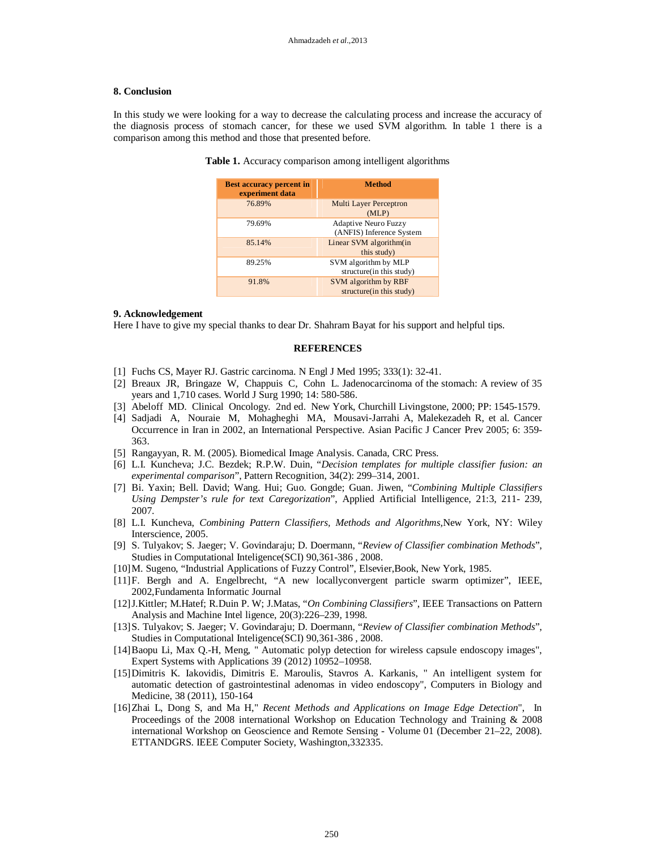### **8. Conclusion**

In this study we were looking for a way to decrease the calculating process and increase the accuracy of the diagnosis process of stomach cancer, for these we used SVM algorithm. In table 1 there is a comparison among this method and those that presented before.

| Table 1. Accuracy comparison among intelligent algorithms |  |  |  |
|-----------------------------------------------------------|--|--|--|
|-----------------------------------------------------------|--|--|--|

| <b>Best accuracy percent in</b><br>experiment data | <b>Method</b>                                           |  |
|----------------------------------------------------|---------------------------------------------------------|--|
| 76.89%                                             | <b>Multi Layer Perceptron</b><br>(MLP)                  |  |
| 79.69%                                             | <b>Adaptive Neuro Fuzzy</b><br>(ANFIS) Inference System |  |
| 85.14%                                             | Linear SVM algorithm(in<br>this study)                  |  |
| 89.25%                                             | SVM algorithm by MLP<br>structure(in this study)        |  |
| 91.8%                                              | SVM algorithm by RBF<br>structure(in this study)        |  |

#### **9. Acknowledgement**

Here I have to give my special thanks to dear Dr. Shahram Bayat for his support and helpful tips.

#### **REFERENCES**

- [1] Fuchs CS, Mayer RJ. Gastric carcinoma. N Engl J Med 1995; 333(1): 32-41.
- [2] Breaux JR, Bringaze W, Chappuis C, Cohn L. Jadenocarcinoma of the stomach: A review of 35 years and 1,710 cases. World J Surg 1990; 14: 580-586.
- [3] Abeloff MD. Clinical Oncology. 2nd ed. New York, Churchill Livingstone, 2000; PP: 1545-1579.
- [4] Sadjadi A, Nouraie M, Mohagheghi MA, Mousavi-Jarrahi A, Malekezadeh R, et al. Cancer Occurrence in Iran in 2002, an International Perspective. Asian Pacific J Cancer Prev 2005; 6: 359- 363.
- [5] Rangayyan, R. M. (2005). Biomedical Image Analysis. Canada, CRC Press.
- [6] L.I. Kuncheva; J.C. Bezdek; R.P.W. Duin, "*Decision templates for multiple classifier fusion: an experimental comparison*", Pattern Recognition, 34(2): 299–314, 2001.
- [7] Bi. Yaxin; Bell. David; Wang. Hui; Guo. Gongde; Guan. Jiwen, "*Combining Multiple Classifiers Using Dempster's rule for text Caregorization*", Applied Artificial Intelligence, 21:3, 211- 239, 2007.
- [8] L.I. Kuncheva, *Combining Pattern Classifiers, Methods and Algorithms,*New York, NY: Wiley Interscience, 2005.
- [9] S. Tulyakov; S. Jaeger; V. Govindaraju; D. Doermann, "*Review of Classifier combination Methods*", Studies in Computational Inteligence(SCI) 90,361-386 , 2008.
- [10]M. Sugeno, "Industrial Applications of Fuzzy Control", Elsevier,Book, New York, 1985.
- [11]F. Bergh and A. Engelbrecht, "A new locallyconvergent particle swarm optimizer", IEEE, 2002,Fundamenta Informatic Journal
- [12]J.Kittler; M.Hatef; R.Duin P. W; J.Matas, "*On Combining Classifiers*", IEEE Transactions on Pattern Analysis and Machine Intel ligence, 20(3):226–239, 1998.
- [13]S. Tulyakov; S. Jaeger; V. Govindaraju; D. Doermann, "*Review of Classifier combination Methods*", Studies in Computational Inteligence(SCI) 90,361-386 , 2008.
- [14]Baopu Li, Max Q.-H, Meng, " Automatic polyp detection for wireless capsule endoscopy images", Expert Systems with Applications 39 (2012) 10952–10958.
- [15]Dimitris K. Iakovidis, Dimitris E. Maroulis, Stavros A. Karkanis, " An intelligent system for automatic detection of gastrointestinal adenomas in video endoscopy", Computers in Biology and Medicine, 38 (2011), 150-164
- [16]Zhai L, Dong S, and Ma H," *Recent Methods and Applications on Image Edge Detection*", In Proceedings of the 2008 international Workshop on Education Technology and Training & 2008 international Workshop on Geoscience and Remote Sensing - Volume 01 (December 21–22, 2008). ETTANDGRS. IEEE Computer Society, Washington,332335.